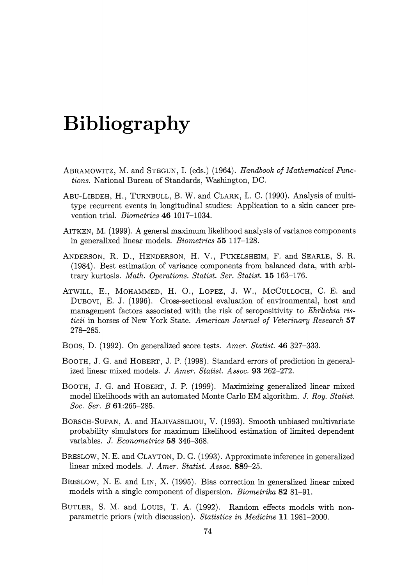# **Bibliography**

- ABRAMOWITZ, M. and STEGUN, I. (eds.) (1964). *Handbook of Mathematical Functions.* National Bureau of Standards, Washington, DC.
- ABU-LIBDEH, H., TURNBULL, B. W. and CLARK, L. C. (1990). Analysis of multitype recurrent events in longitudinal studies: Application to a skin cancer prevention trial. *Biometrics* **46** 1017-1034.
- AITKEN, M. (1999). A general maximum likelihood analysis of variance components in generalixed linear models. *Biometrics* 55 117-128.
- ANDERSON, R. D., HENDERSON, **H.** V., PUKELSHEIM, F. and SEARLE, S. R. (1984). Best estimation of variance components from balanced data, with arbitrary kurtosis. *Math. Operations. Statist. Ser. Statist.* **15** 163-176.
- ATWILL, E., MOHAMMED, H. 0., LOPEZ, J. W., McCULLOCH, C. E. and DUBOVI, E. J. (1996). Cross-sectional evaluation of environmental, host and management factors associated with the risk of seropositivity to *Ehrlichia risticii* in horses of New York State. *American Journal of Veterinary Research* **57**  278-285.
- Boos, D. (1992). On generalized score tests. *Amer. Statist.* 46 327-333.
- BOOTH, J. G. and HOBERT, J.P. (1998). Standard errors of prediction in generalized linear mixed models. *J. Amer. Statist. Assoc.* 93 262-272.
- BoOTH, J. G. and HOBERT, J. P. (1999). Maximizing generalized linear mixed model likelihoods with an automated Monte Carlo EM algorithm. *J. Roy. Statist. Soc. Ser. B* 61:265-285.
- BORSCH-SUPAN, A. and HAJIVASSILIOU, V. (1993). Smooth unbiased multivariate probability simulators for maximum likelihood estimation of limited dependent variables. *J. Econometrics* **58** 346-368.
- BRESLOW, N. E. and CLAYTON, D. G. (1993). Approximate inference in generalized linear mixed models. *J. Amer. Statist. Assoc.* 889-25.
- BRESLOW, N. E. and LIN, X. (1995). Bias correction in generalized linear mixed models with a single component of dispersion. *Biometrika* 82 81-91.
- BUTLER, S. M. and Lours, T. A. (1992). Random effects models with nonparametric priors (with discussion). *Statistics in Medicine* **11** 1981-2000.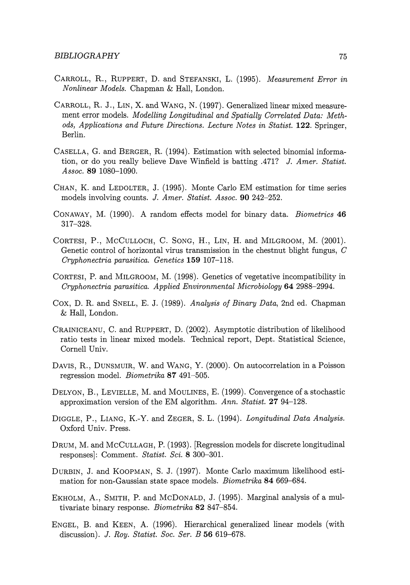- CARROLL, R., RUPPERT, D. and STEFANSKI, L. (1995). *Measurement Error in Nonlinear Models.* Chapman & Hall, London.
- CARROLL, R. J., LIN, X. and WANG, N. (1997). Generalized linear mixed measurement error models. *Modelling Longitudinal and Spatially Correlated Data: Methods, Applications and Future Directions. Lecture Notes in Statist.* **122.** Springer, Berlin.
- CASELLA, G. and BERGER, R.. (1994). Estimation with selected binomial information, or do you really believe Dave Winfield is batting .471? *J. Amer. Statist. Assoc.* **89** 1080-1090.
- CHAN, K. and LEDOLTER, J. (1995). Monte Carlo EM estimation for time series models involving counts. J. *Amer. Statist. Assoc.* **90** 242-252.
- CONAWAY, M. (1990). A random effects model for binary data. *Biometrics* 46 317-328.
- CORTESI, P., McCuLLOCH, C. SoNG, H., LIN, **H.** and MILGROOM, M. (2001). Genetic control of horizontal virus transmission in the chestnut blight fungus, C *Cryphonectria parasitica. Genetics* **159** 107-118.
- CORTESI, P. and MILGROOM, M. (1998). Genetics of vegetative incompatibility in *Cryphonectria parasitica. Applied Environmental Microbiology* **64** 2988-2994.
- Cox, D. R.. and SNELL, E. J. (1989). *Analysis of Binary Data,* 2nd ed. Chapman & Hall, London.
- CRAINICEANU, C. and RUPPERT, D. (2002). Asymptotic distribution of likelihood ratio tests in linear mixed models. Technical report, Dept. Statistical Science, Cornell Univ.
- DAVIS, R., DuNSMUIR, W. and WANG, Y. (2000). On autocorrelation in a Poisson regression model. *Biometrika* 87 491-505.
- DELYON, B., LEVIELLE, M. and MOULINES, E. (1999). Convergence of a stochastic approximation version of the EM algorithm. *Ann. Statist.* **27** 94-128.
- DIGGLE, P., LIANG, K.-Y. and ZEGER, S. L. (1994). *Longitudinal Data Analysis.*  Oxford Univ. Press.
- DRUM, M. and McCULLAGH, P. (1993). [Regression models for discrete longitudinal responses]: Comment. *Statist. Sci.* 8 300-301.
- DURBIN, J. and KOOPMAN, S. J. (1997). Monte Carlo maximum likelihood estimation for non-Gaussian state space models. *Biometrika* 84 669-684.
- EKHOLM, A., SMITH, P. and McDONALD, J. (1995). Marginal analysis of a multivariate binary response. *Biometrika* 82 847-854.
- ENGEL, B. and KEEN, A. (1996). Hierarchical generalized linear models (with discussion). J. *Roy. Statist. Soc. Ser. B* **56** 619-678.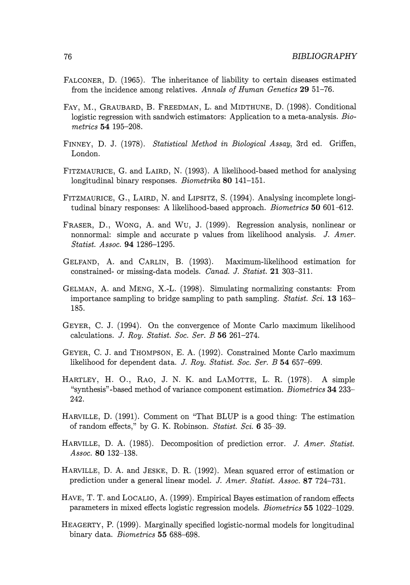- FALCONER, D. (1965). The inheritance of liability to certain diseases estimated from the incidence among relatives. *Annals of Human Genetics* **29** 51-76.
- FAY, M., GRAUBARD, B. FREEDMAN, L. and MIDTHUNE, D. (1998). Conditional logistic regression with sandwich estimators: Application to a meta-analysis. *Biometrics* 54 195-208.
- FINNEY, D. J. (1978). *Statistical Method in Biological Assay,* 3rd ed. Griffen, London.
- FITZMAURICE, G. and LAIRD, N. (1993). A likelihood-based method for analysing longitudinal binary responses. *Biometrika* **80** 141-151.
- FITZMAURICE, G., LAIRD, N. and LIPSITZ, S. (1994). Analysing incomplete longitudinal binary responses: A likelihood-based approach. *Biometrics* **50** 601-612.
- FRASER, D., WONG, A. and Wu, J. (1999). Regression analysis, nonlinear or nonnormal: simple and accurate p values from likelihood analysis. J. *Amer. Statist. Assoc.* **94** 1286-1295.
- GELFAND, A. and CARLIN, B. (1993). Maximum-likelihood estimation for constrained- or missing-data models. *Canad.* J. *Statist.* **21** 303-311.
- GELMAN, A. and MENG, X.-L. (1998). Simulating normalizing constants: From importance sampling to bridge sampling to path sampling. *Statist. Sci.* **13** 163- 185.
- GEYER, C. J. (1994). On the convergence of Monte Carlo maximum likelihood calculations. *J. Roy. Statist. Soc. Ser. B* 56 261-274.
- GEYER, C. J. and THOMPSON, E. A. (1992). Constrained Monte Carlo maximum likelihood for dependent data. J. *Roy. Statist. Soc. Ser. B* 54 657-699.
- HARTLEY, H. 0., RAO, J. N. K. and LAMOTTE, **L.** R. (1978). A simple "synthesis"-based method of variance component estimation. *Biometrics* **34** 233- 242.
- HARVILLE, D. (1991). Comment on "That BLUP is a good thing: The estimation of random effects," by G. K. Robinson. *Statist. Sci.* 6 35- 39.
- HARVILLE, D. A. (1985). Decomposition of prediction error. J. *Amer. Statist. Assoc.* **80** 132-138.
- HARVILLE, D. A. and JESKE, D. R. (1992). Mean squared error of estimation or prediction under a general linear model. J. *Amer. Statist. Assoc.* **87** 724-731.
- HAVE, T. T. and LOCALIO, A. (1999). Empirical Bayes estimation of random effects parameters in mixed effects logistic regression models. *Biometrics* **55** 1022-1029.
- HEAGERTY, P. (1999). Marginally specified logistic-normal models for longitudinal binary data. *Biometrics* 55 688-698.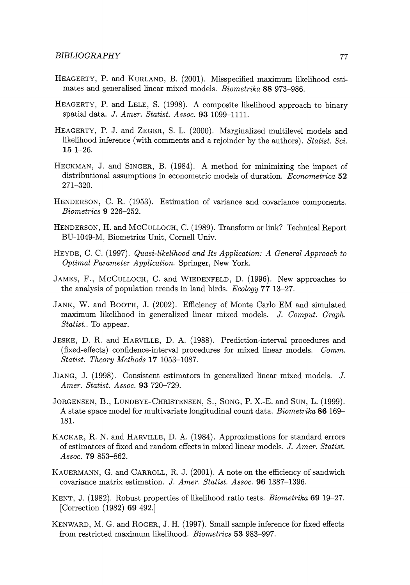- HEAGERTY, P. and KURLAND, B. (2001). Misspecified maximum likelihood estimates and generalised linear mixed models. *Biometrika* 88 973-986.
- HEAGERTY, P. and LELE, S. (1998). A composite likelihood approach to binary spatial data. J. *Amer. Statist. Assoc.* 93 1099-1111.
- HEAGERTY, P. J. and ZEGER, S. L. (2000). Marginalized multilevel models and likelihood inference (with comments and a rejoinder by the authors). *Statist. Sci.*  **15** 1-26.
- HECKMAN, J. and SINGER, B. (1984). A method for minimizing the impact of distributional assumptions in econometric models of duration. *Econometrica* 52 271-320.
- HENDERSON, C. R. (1953). Estimation of variance and covariance components. *Biometrics* 9 226-252.
- HENDERSON, H. and McCuLLOCH, C. (1989). Transform or link? Technical Report BU-1049-M, Biometrics Unit, Cornell Univ.
- HEYDE, C. C. (1997). *Quasi-likelihood and Its Application: A General Approach to Optimal Parameter Application.* Springer, New York.
- JAMES, F., McCULLOCH, C. and WIEDENFELD, D. (1996). New approaches to the analysis of population trends in land birds. *Ecology* **77** 13-27.
- JANK, W. and BOOTH, J. (2002). Efficiency of Monte Carlo EM and simulated maximum likelihood in generalized linear mixed models. J. *Comput. Graph. Statist..* To appear.
- JESKE, D. R. and HARVILLE, D. A. (1988). Prediction-interval procedures and (fixed-effects) confidence-interval procedures for mixed linear models. *Comm. Statist. Theory Methods* **17** 1053-1087.
- JIANG, J. (1998). Consistent estimators in generalized linear mixed models. J. *Amer. Statist. Assoc.* **93** 720-729.
- JORGENSEN, B., LUNDBYE-CHRISTENSEN, S., SONG, P. X.-E. and SUN, L. (1999). A state space model for multivariate longitudinal count data. *Biometrika* 86 169- 181.
- KACKAR, R. N. and HARVILLE, D. A. (1984). Approximations for standard errors of estimators of fixed and random effects in mixed linear models. J. *A mer. Statist. Assoc.* 79 853-862.
- KAUERMANN, G. and CARROLL, R. J. (2001). A note on the efficiency of sandwich covariance matrix estimation. J. *Amer. Statist. Assoc.* 96 1387-1396.
- KENT, J. (1982). Robust properties of likelihood ratio tests. *Biometrika* 69 19-27. [Correction (1982) **69** 492.]
- KENWARD, M.G. and RoGER, J. H. (1997). Small sample inference for fixed effects from restricted maximum likelihood. *Biometrics* 53 983-997.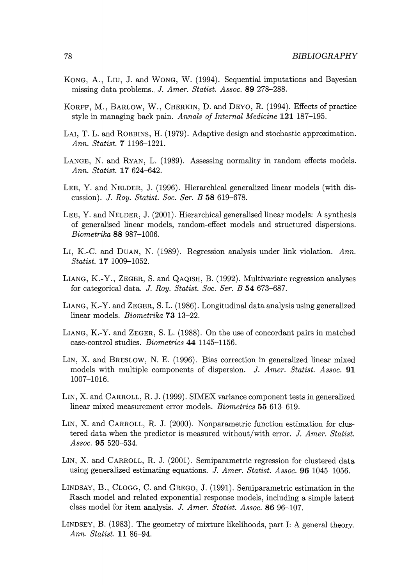- KONG, A., Lru, J. and WONG, W. (1994). Sequential imputations and Bayesian missing data problems. J. *Amer. Statist. Assoc.* **89** 278-288.
- KORFF, M., BARLOW, W., CHERKIN, D. and DEYO, R. (1994). Effects of practice style in managing back pain. *Annals of Internal Medicine* **121** 187-195.
- LAI, T. L. and ROBBINS, H. (1979). Adaptive design and stochastic approximation. *Ann. Statist.* **7** 1196-1221.
- LANGE, N. and RYAN, L. (1989). Assessing normality in random effects models. *Ann. Statist.* **17** 624-642.
- LEE, Y. and NELDER, **J.** (1996). Hierarchical generalized linear models (with discussion). J. *Roy. Statist. Soc. Ser. B* **58** 619-678.
- LEE, Y. and NELDER, J. (2001). Hierarchical generalised linear models: A synthesis of generalised linear models, random-effect models and structured dispersions. *Biometrika* **88** 987-1006.
- LI, K.-C. and DUAN, N. (1989). Regression analysis under link violation. *Ann. Statist.* **17** 1009-1052.
- LIANG, K.-Y., ZEGER, S. and QAQISH, B. (1992). Multivariate regression analyses for categorical data. J. *Roy. Statist. Soc. Ser. B* **54** 673-687.
- LIANG, K.-Y. and ZEGER, S. L. (1986). Longitudinal data analysis using generalized linear models. *Biometrika* **73** 13-22.
- LIANG, K.-Y. and ZEGER, S. L. (1988). On the use of concordant pairs in matched case-control studies. *Biometrics* **44** 1145-1156.
- LIN, X. and BRESLOW, N. E. (1996). Bias correction in generalized linear mixed models with multiple components of dispersion. J. *Amer. Statist. Assoc.* **91**  1007-1016.
- LIN, X. and CARROLL, R. J. (1999). SIMEX variance component tests in generalized linear mixed measurement error models. *Biometrics* **55** 613-619.
- LIN, X. and CARROLL, R. J. (2000). Nonparametric function estimation for clustered data when the predictor is measured without/with error. J. *Amer. Statist.*  Assoc. **95** 520-534.
- LIN, X. and CARROLL, R. J. (2001). Semiparametric regression for clustered data using generalized estimating equations. J. *Amer. Statist. Assoc.* **96** 1045-1056.
- LINDSAY, B., CLOGG, C. and GREGO, J. (1991). Semiparametric estimation in the Rasch model and related exponential response models, including a simple latent class model for item analysis. J. *Amer. Statist. Assoc.* **86** 96-107.
- LINDSEY, B. (1983). The geometry of mixture likelihoods, part I: A general theory. *Ann. Statist.* **11** 86-94.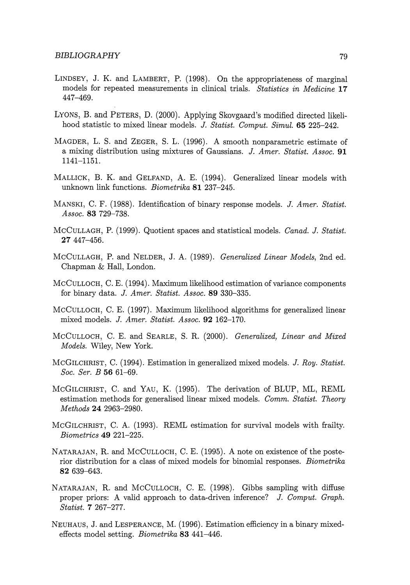- LINDSEY, J. K. and LAMBERT, P. (1998). On the appropriateness of marginal models for repeated measurements in clinical trials. *Statistics in Medicine* **17**  447-469.
- LYONS, B. and PETERS, D. (2000). Applying Skovgaard's modified directed likelihood statistic to mixed linear models. J. *Statist. Comput. Simul.* **65** 225-242.
- MAGDER, L. S. and ZEGER, S. L. (1996). A smooth nonparametric estimate of a mixing distribution using mixtures of Gaussians. J. *Amer. Statist. Assoc.* **91**  1141-1151.
- MALLICK, B. K. and GELFAND, A. E. (1994). Generalized linear models with unknown link functions. *Biometrika* **81** 237-245.
- MANSKI, C. F. (1988). Identification of binary response models. J. *Amer. Statist. Assoc.* **83** 729-738.
- McCuLLAGH, P. (1999). Quotient spaces and statistical models. *Canad.* J. *Statist.*  **27** 447-456.
- McCULLAGH, **P.** and NELDER, J. A. (1989). *Generalized Linear Models,* 2nd ed. Chapman & Hall, London.
- McCULLOCH, C. E. (1994). Maximum likelihood estimation of variance components for binary data. J. *Amer. Statist. Assoc.* **89** 330-335.
- McCULLOCH, C. E. (1997). Maximum likelihood algorithms for generalized linear mixed models. J. *Amer. Statist. Assoc.* **92** 162-170.
- McCULLOCH, C. E. and SEARLE, 8. R. (2000). *Generalized, Linear and Mixed Models.* Wiley, New York.
- McGILCHRIST, C. (1994). Estimation in generalized mixed models. J. *Roy. Statist. Soc. Ser. B* **56** 61-69.
- McGILCHRIST, C. and YAU, K. (1995). The derivation of BLUP, ML, REML estimation methods for generalised linear mixed models. *Comm. Statist. Theory Methods* **24** 2963-2980.
- McGILCHRIST, C. A. (1993). REML estimation for survival models with frailty. *Biometrics* **49** 221-225.
- NATARAJAN, R. and McCULLOCH, C. E. (1995). A note on existence of the posterior distribution for a class of mixed models for binomial responses. *Biometrika*  **82** 639-643.
- NATARAJAN, R. and MCCULLOCH, C. E. (1998). Gibbs sampling with diffuse proper priors: A valid approach to data-driven inference? J. *Comput. Graph. Statist.* **7** 267-277.
- NEUHAUS, J. and LESPERANCE, M. (1996). Estimation efficiency in a binary mixedeffects model setting. *Biometrika* 83 441-446.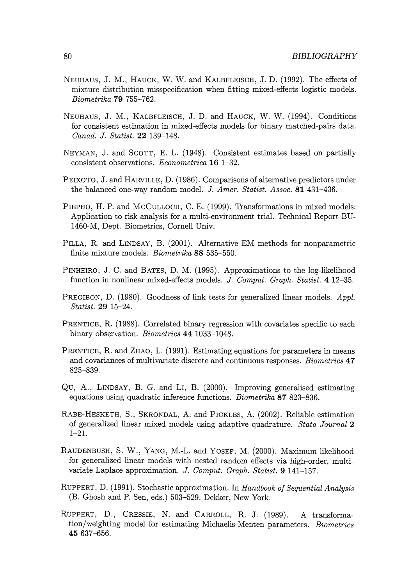- NEUHAUS, J. M., HAUCK, W. W. and KALBFLEISCH, J.D. (1992). The effects of mixture distribution misspecification when fitting mixed-effects logistic models. *Biometrika* **79** 755-762.
- NEUHAUS, J. M., KALBFLEISCH, J. **D.** and HAUCK, W. W. (1994). Conditions for consistent estimation in mixed-effects models for binary matched-pairs data. *Canad. J. Statist.* **22** 139-148.
- NEYMAN, **J.** and ScoTT, E. L. (1948). Consistent estimates based on partially consistent observations. *Econometrica* **16** 1--32.
- PEIXOTO, J. and HARVILLE, **D.** (1986). Comparisons of alternative predictors under the balanced one-way random model. *J. Amer. Statist. Assoc.* **81** 431-436.
- PIEPHO, H. P. and McCULLOCH, C. E. (1999). Transformations in mixed models: Application to risk analysis for a multi-environment trial. Technical Report BU-1460-M, Dept. Biometrics, Cornell Univ.
- PILLA, R. and LINDSAY, B. (2001). Alternative EM methods for nonparametric finite mixture models. *Biometrika* **88** 535--550.
- PINHEIRO, **.J.** C. and BATES, **D.** M. (1995). Approximations to the log-likelihood function in nonlinear mixed-effects models. *J. Comput. Graph. Statist.* **4** 12-35.
- PREGIBON, D. (1980). Goodness of link tests for generalized linear models. *Appl. Statist.* **29** 15-24.
- PRENTICE, R. (1988). Correlated binary regression with covariates specific to each binary observation. *Biometrics* **44** 1033-1048.
- PRENTICE, R. and ZHAO, L.  $(1991)$ . Estimating equations for parameters in means and covariances of multivariate discrete and continuous responses. *Biometrics* **4 7**  825-839.
- Qu, A., LINDSAY, B. G. and LI, B. (2000). Improving generalised estimating equations using quadratic inference functions. *Biometrika* **87** 823-836.
- RABE-HESKETH, S., SKRONDAL, A. and PICKLES, A. (2002). Reliable estimation of generalized linear mixed models using adaptive quadrature. *Stata Journal* **2**  1-21.
- RAUDENBUSH, S. W., YANG, M.-1. and YOSEF, M. (2000). Maximum likelihood for generalized linear models with nested random effects via high-order, multivariate Laplace approximation. *J. Comput. Graph. Statist.* **9** 141-157.
- RUPPERT, D. (1991). Stochastic approximation. In *Handbook of Sequential Analysis*  (B. Ghosh and P. Sen, eds.) 503-529. Dekker, New York.
- RUPPERT, D., CRESSIE, N. and CARROLL, R. J. (1989). A transformation/weighting model for estimating Michaelis-Menten parameters. *Biometrics*  **45** 637-656.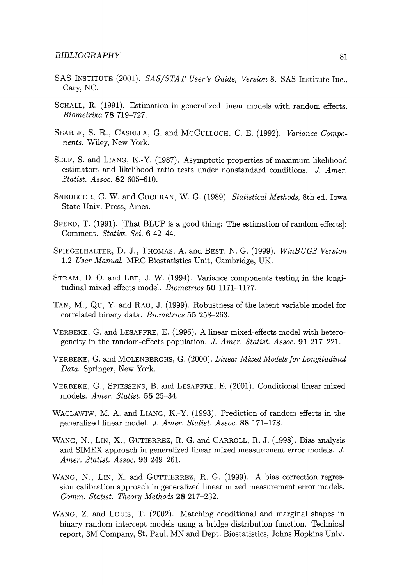- SAS INSTITUTE (2001). *SAS/STAT User's Guide, Version* 8. SAS Institute Inc., Cary, NC.
- ScHALL, R. (1991). Estimation in generalized linear models with random effects. *Biometrika* 78 719-727.
- SEARLE, S. R., CASELLA, G. and McCuLLOCH, C. E. (1992). *Variance Components.* Wiley, New York.
- SELF, S. and LIANG, K.-Y. (1987). Asymptotic properties of maximum likelihood estimators and likelihood ratio tests under nonstandard conditions. J. *Amer. Statist. Assoc.* 82 605-610.
- SNEDECOR, G. W. and COCHRAN, W. G. (1989). *Statistical Methods,* 8th ed. Iowa State Univ. Press, Ames.
- SPEED, T. (1991). That BLUP is a good thing: The estimation of random effects. Comment. *Statist. Sci.* 6 42-44.
- SPIEGELHALTER, D. J., THOMAS, A. and BEST, N. G. (1999). *WinBUGS Version*  1.2 *User Manual.* MRC Biostatistics Unit, Cambridge, UK.
- STRAM, D. 0. and LEE, J. W. (1994). Variance components testing in the longitudinal mixed effects model. *Biometrics* 50 1171-1177.
- TAN, M., Qu, Y. and RAO, J. (1999). Robustness of the latent variable model for correlated binary data. *Biometrics* 55 258-263.
- VERBEKE, G. and LESAFFRE, E. (1996). A linear mixed-effects model with heterogeneity in the random-effects population. J. *Amer. Statist. Assoc.* 91 217-221.
- VERBEKE, G. and MOLENBERGHS, G. (2000). *Linear Mixed Models for Longitudinal Data.* Springer, New York.
- VERBEKE, G., SPIESSENS, B. and LESAFFRE, E. (2001). Conditional linear mixed models. *Amer. Statist.* 55 25-34.
- WACLAWIW, M. A. and LIANG, K.-Y. (1993). Prediction of random effects in the generalized linear model. J. *Amer. Statist. Assoc.* 88 171-178.
- WANG, N., LIN, X., GUTIERREZ, R. G. and CARROLL, R. J. (1998). Bias analysis and SIMEX approach in generalized linear mixed measurement error models. J. *Amer. Statist. Assoc.* 93 249-261.
- WANG, N., LIN, X. and GUTTIERREZ, R. G. (1999). A bias correction regression calibration approach in generalized linear mixed measurement error models. *Comm. Statist. Theory Methods* 28 217-232.
- WANG, Z. and LOUIS, T. (2002). Matching conditional and marginal shapes in binary random intercept models using a bridge distribution function. Technical report, 3M Company, St. Paul, MN and Dept. Biostatistics, Johns Hopkins Univ.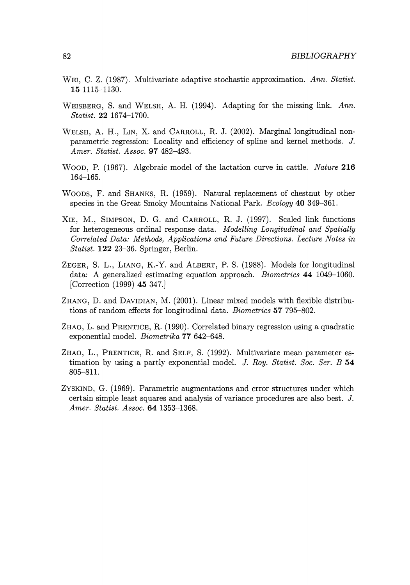- WEI, C. Z. (1987). Multivariate adaptive stochastic approximation. *Ann. Statist.*  **15** 1115-1130.
- WEISBERG, S. and WELSH, A. H. (1994). Adapting for the missing link. *Ann. Statist.* **22** 1674-1700.
- WELSH, A. H., LIN, X. and CARROLL, R. J. (2002). Marginal longitudinal nonparametric regression: Locality and efficiency of spline and kernel methods. J. *Amer. Statist. Assoc.* **97** 482-493.
- WOOD, P. (1967). Algebraic model of the lactation curve in cattle. *Nature* **216**  164-165.
- WOODS, F. and SHANKS, R. (1959). Natural replacement of chestnut by other species in the Great Smoky Mountains National Park. *Ecology* **40** 349--361.
- XIE, M., SIMPSON, D. G. and CARROLL, R. J. (1997). Scaled link functions for heterogeneous ordinal response data. *Modelling Longitudinal and Spatially Correlated Data: Methods, Applications and Future Directions. Lecture Notes in Statist.* **122** 23-36. Springer, Berlin.
- ZEGER, S. L., LIANG, K.-Y. and ALBERT, P. S. (1988). Models for longitudinal data: A generalized estimating equation approach. *Biometrics* **44** 1049-1060. [Correction (1999) **45** 347.]
- ZHANG, D. and DAVIDIAN, M. (2001). Linear mixed models with flexible distributions of random effects for longitudinal data. *Biometrics* **57** 795-802.
- ZHAO, L. and PRENTICE, R. (1990). Correlated binary regression using a quadratic exponential model. *Biometrika* **77** 642-648.
- ZHAO, L., PRENTICE, R. and SELF, S. (1992). Multivariate mean parameter estimation by using a partly exponential model. J. *Roy. Statist. Soc. Ser. B* **54**  805-811.
- ZYSKIND, G. (1969). Parametric augmentations and error structures under which certain simple least squares and analysis of variance procedures are also best. J. *Amer. Statist. Assoc.* **64** 1353-1368.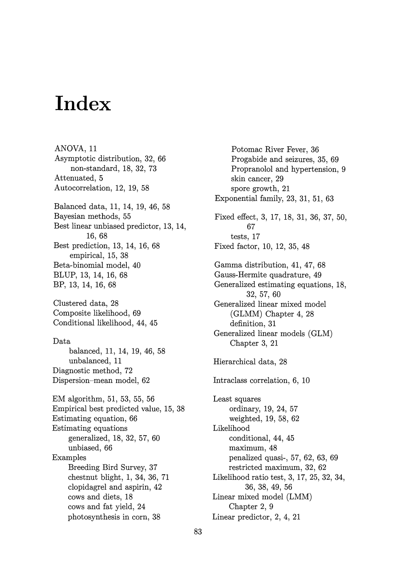# **Index**

ANOVA, 11 Asymptotic distribution, 32, 66 non-standard, 18, 32, 73 Attenuated, 5 Autocorrelation, 12, 19, 58 Balanced data, 11, 14, 19, 46, 58 Bayesian methods, 55 Best linear unbiased predictor, 13, 14, 16, 68 Best prediction, 13, 14, 16, 68 empirical, 15, 38 Beta-binomial model, 40 BLUP, 13, 14, 16, 68 BP, 13, 14, 16, 68 Clustered data, 28 Composite likelihood, 69 Conditional likelihood, 44, 45 Data balanced, 11, 14, 19, 46, 58 unbalanced, 11 Diagnostic method, 72 Dispersion~mean model, 62 EM algorithm, 51, 53, 55, 56 Empirical best predicted value, 15, 38 Estimating equation, 66 Estimating equations generalized, 18, 32, 57, 60 unbiased, 66 Examples Breeding Bird Survey, 37 chestnut blight, 1, 34, 36, 71 clopidagrel and aspirin, 42 cows and diets, 18 cows and fat yield, 24 photosynthesis in corn, 38

Potomac River Fever, 36 Progabide and seizures, 35, 69 Propranolol and hypertension, 9 skin cancer, 29 spore growth, 21 Exponential family, 23, 31, 51, 63 Fixed effect, 3, 17, 18, 31, 36, 37, 50, 67 tests, 17 Fixed factor, 10, 12, 35, 48 Gamma distribution, 41, 47, 68 Gauss-Hermite quadrature, 49 Generalized estimating equations, 18, 32, 57, 60 Generalized linear mixed model (GLMM) Chapter 4, 28 definition, 31 Generalized linear models (GLM) Chapter 3, 21 Hierarchical data, 28 Intraclass correlation, 6, 10 Least squares ordinary, 19, 24, 57 weighted, 19, 58, 62 Likelihood conditional, 44, 45 maximum, 48 penalized quasi-, 57, 62, 63, 69 restricted maximum, 32, 62 Likelihood ratio test, 3, 17, 25, 32, 34, 36, 38, 49, 56 Linear mixed model (LMM) Chapter 2, 9 Linear predictor, 2, 4, 21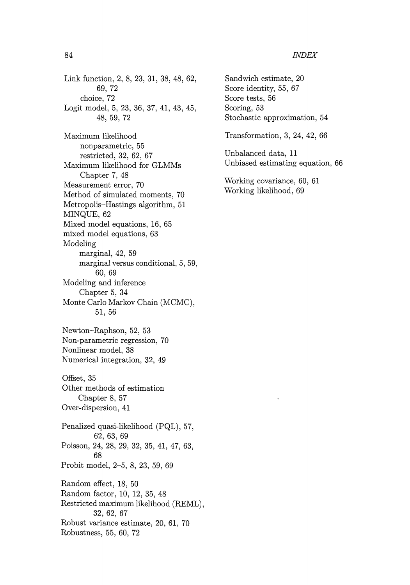Link function, 2, 8, 23, 31, 38, 48, 62, 69, 72 choice, 72 Logit model, 5, 23, 36, 37, 41, 43, 45, 48, 59, 72

Maximum likelihood nonparametric, 55 restricted, 32, 62, 67 Maximum likelihood for GLMMs Chapter 7, 48 Measurement error, 70 Method of simulated moments, 70 Metropolis-Hastings algorithm, 51 MINQUE, 62 Mixed model equations, 16, 65 mixed model equations, 63 Modeling marginal, 42, 59 marginal versus conditional, 5, 59, 60, 69 Modeling and inference Chapter 5, 34 Monte Carlo Markov Chain (MCMC), 51, 56 Newton-Raphson, 52, 53 Non-parametric regression, 70 Nonlinear model, 38 Numerical integration, 32, 49 Offset, 35 Other methods of estimation Chapter 8, 57 Over-dispersion, 41 Penalized quasi-likelihood (PQL), 57, 62, 63, 69 Poisson, 24, 28, 29, 32, 35, 41, 47, 63, 68 Probit model, 2-5, 8, 23, 59, 69 Random effect, 18, 50 Random factor, 10, 12, 35, 48 Restricted maximum likelihood (REML), 32, 62, 67 Robust variance estimate, 20, 61, 70 Robustness, 55, 60, 72

Sandwich estimate, 20 Score identity, 55, 67 Score tests, 56 Scoring, 53 Stochastic approximation, 54 Transformation, 3, 24, 42, 66 Unbalanced data, 11 Unbiased estimating equation, 66 Working covariance, 60, 61 Working likelihood, 69